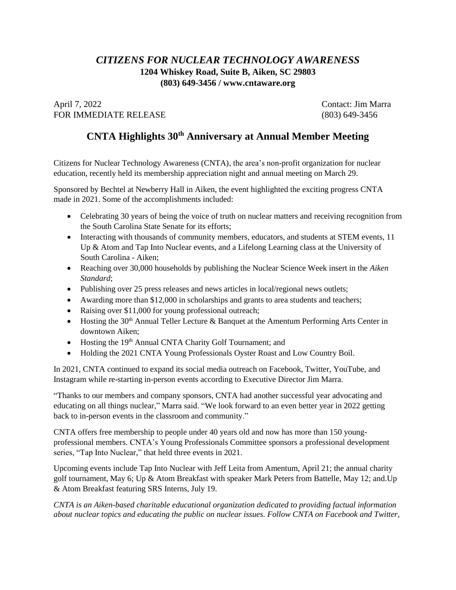## *CITIZENS FOR NUCLEAR TECHNOLOGY AWARENESS* **1204 Whiskey Road, Suite B, Aiken, SC 29803 (803) 649-3456 / www.cntaware.org**

April 7, 2022 Contact: Jim Marra FOR IMMEDIATE RELEASE (803) 649-3456

## **CNTA Highlights 30th Anniversary at Annual Member Meeting**

Citizens for Nuclear Technology Awareness (CNTA), the area's non-profit organization for nuclear education, recently held its membership appreciation night and annual meeting on March 29.

Sponsored by Bechtel at Newberry Hall in Aiken, the event highlighted the exciting progress CNTA made in 2021. Some of the accomplishments included:

- Celebrating 30 years of being the voice of truth on nuclear matters and receiving recognition from the South Carolina State Senate for its efforts;
- Interacting with thousands of community members, educators, and students at STEM events, 11 Up & Atom and Tap Into Nuclear events, and a Lifelong Learning class at the University of South Carolina - Aiken;
- Reaching over 30,000 households by publishing the Nuclear Science Week insert in the *Aiken Standard*;
- Publishing over 25 press releases and news articles in local/regional news outlets;
- Awarding more than \$12,000 in scholarships and grants to area students and teachers;
- Raising over \$11,000 for young professional outreach;
- Hosting the 30<sup>th</sup> Annual Teller Lecture  $\&$  Banquet at the Amentum Performing Arts Center in downtown Aiken;
- Hosting the 19<sup>th</sup> Annual CNTA Charity Golf Tournament; and
- Holding the 2021 CNTA Young Professionals Oyster Roast and Low Country Boil.

In 2021, CNTA continued to expand its social media outreach on Facebook, Twitter, YouTube, and Instagram while re-starting in-person events according to Executive Director Jim Marra.

"Thanks to our members and company sponsors, CNTA had another successful year advocating and educating on all things nuclear," Marra said. "We look forward to an even better year in 2022 getting back to in-person events in the classroom and community."

CNTA offers free membership to people under 40 years old and now has more than 150 youngprofessional members. CNTA's Young Professionals Committee sponsors a professional development series, "Tap Into Nuclear," that held three events in 2021.

Upcoming events include Tap Into Nuclear with Jeff Leita from Amentum, April 21; the annual charity golf tournament, May 6; Up & Atom Breakfast with speaker Mark Peters from Battelle, May 12; and.Up & Atom Breakfast featuring SRS Interns, July 19.

*CNTA is an Aiken-based charitable educational organization dedicated to providing factual information about nuclear topics and educating the public on nuclear issues. Follow CNTA on Facebook and Twitter,*